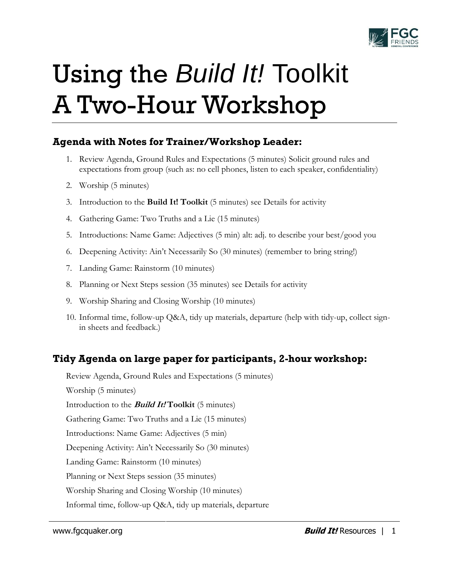

# Using the *Build It!* Toolkit A Two-Hour Workshop

## **Agenda with Notes for Trainer/Workshop Leader:**

- 1. Review Agenda, Ground Rules and Expectations (5 minutes) Solicit ground rules and expectations from group (such as: no cell phones, listen to each speaker, confidentiality)
- 2. Worship (5 minutes)
- 3. Introduction to the **Build It! Toolkit** (5 minutes) see Details for activity
- 4. Gathering Game: Two Truths and a Lie (15 minutes)
- 5. Introductions: Name Game: Adjectives (5 min) alt: adj. to describe your best/good you
- 6. Deepening Activity: Ain't Necessarily So (30 minutes) (remember to bring string!)
- 7. Landing Game: Rainstorm (10 minutes)
- 8. Planning or Next Steps session (35 minutes) see Details for activity
- 9. Worship Sharing and Closing Worship (10 minutes)
- 10. Informal time, follow-up Q&A, tidy up materials, departure (help with tidy-up, collect signin sheets and feedback.)

# **Tidy Agenda on large paper for participants, 2-hour workshop:**

Review Agenda, Ground Rules and Expectations (5 minutes) Worship (5 minutes) Introduction to the **Build It! Toolkit** (5 minutes) Gathering Game: Two Truths and a Lie (15 minutes) Introductions: Name Game: Adjectives (5 min) Deepening Activity: Ain't Necessarily So (30 minutes) Landing Game: Rainstorm (10 minutes) Planning or Next Steps session (35 minutes) Worship Sharing and Closing Worship (10 minutes) Informal time, follow-up Q&A, tidy up materials, departure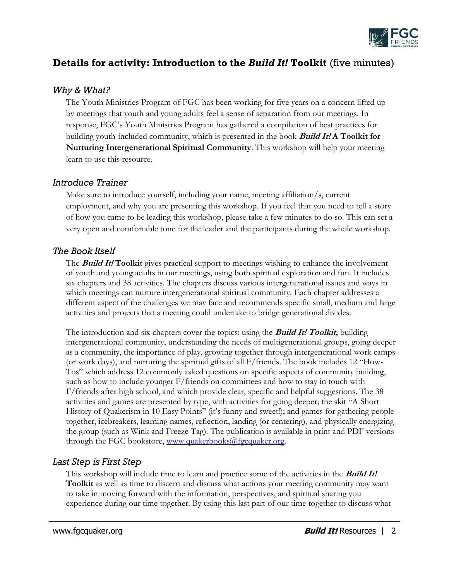

## **Details for activity: Introduction to the** *Build It!* **Toolkit** (five minutes)

#### *Why & What?*

The Youth Ministries Program of FGC has been working for five years on a concern lifted up by meetings that youth and young adults feel a sense of separation from our meetings. In response, FGC's Youth Ministries Program has gathered a compilation of best practices for building youth-included community, which is presented in the book **Build It! A Toolkit for Nurturing Intergenerational Spiritual Community**. This workshop will help your meeting learn to use this resource.

#### *Introduce Trainer*

Make sure to introduce yourself, including your name, meeting affiliation/s, current employment, and why you are presenting this workshop. If you feel that you need to tell a story of how you came to be leading this workshop, please take a few minutes to do so. This can set a very open and comfortable tone for the leader and the participants during the whole workshop.

#### *The Book Itself*

The **Build It! Toolkit** gives practical support to meetings wishing to enhance the involvement of youth and young adults in our meetings, using both spiritual exploration and fun. It includes six chapters and 38 activities. The chapters discuss various intergenerational issues and ways in which meetings can nurture intergenerational spiritual community. Each chapter addresses a different aspect of the challenges we may face and recommends specific small, medium and large activities and projects that a meeting could undertake to bridge generational divides.

The introduction and six chapters cover the topics: using the **Build It! Toolkit,** building intergenerational community, understanding the needs of multigenerational groups, going deeper as a community, the importance of play, growing together through intergenerational work camps (or work days), and nurturing the spiritual gifts of all F/friends. The book includes 12 "How-Tos" which address 12 commonly asked questions on specific aspects of community building, such as how to include younger F/friends on committees and how to stay in touch with F/friends after high school, and which provide clear, specific and helpful suggestions. The 38 activities and games are presented by type, with activities for going deeper; the skit "A Short History of Quakerism in 10 Easy Points" (it's funny and sweet!); and games for gathering people together, icebreakers, learning names, reflection, landing (or centering), and physically energizing the group (such as Wink and Freeze Tag). The publication is available in print and PDF versions through the FGC bookstore, [www.quakerbooks@fgcquaker.org.](http://www.quakerbooks@fgcquaker.org/)

#### *Last Step is First Step*

This workshop will include time to learn and practice some of the activities in the **Build It! Toolkit** as well as time to discern and discuss what actions your meeting community may want to take in moving forward with the information, perspectives, and spiritual sharing you experience during our time together. By using this last part of our time together to discuss what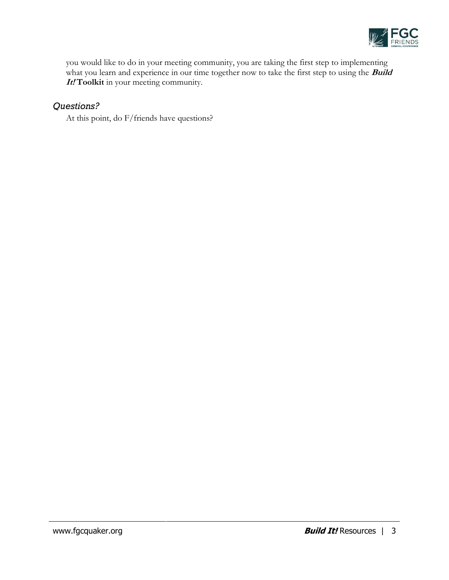

you would like to do in your meeting community, you are taking the first step to implementing what you learn and experience in our time together now to take the first step to using the **Build It! Toolkit** in your meeting community.

### *Questions?*

At this point, do F/friends have questions?